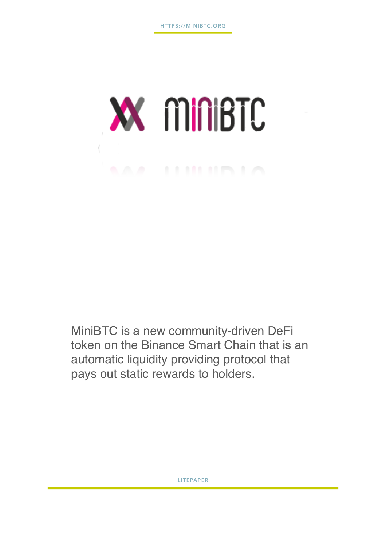

[MiniBTC](https://minibtc.org/) is a new community-driven DeFi token on the Binance Smart Chain that is an automatic liquidity providing protocol that pays out static rewards to holders.

**LITEPAPER**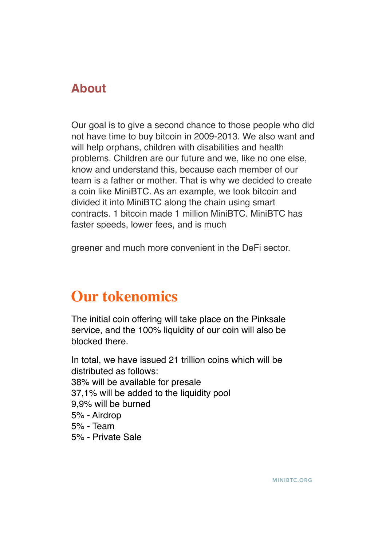#### **About**

Our goal is to give a second chance to those people who did not have time to buy bitcoin in 2009-2013. We also want and will help orphans, children with disabilities and health problems. Children are our future and we, like no one else, know and understand this, because each member of our team is a father or mother. That is why we decided to create a coin like MiniBTC. As an example, we took bitcoin and divided it into MiniBTC along the chain using smart contracts. 1 bitcoin made 1 million MiniBTC. MiniBTC has faster speeds, lower fees, and is much

greener and much more convenient in the DeFi sector.

# **Our tokenomics**

The initial coin offering will take place on the Pinksale service, and the 100% liquidity of our coin will also be blocked there.

In total, we have issued 21 trillion coins which will be distributed as follows: 38% will be available for presale 37,1% will be added to the liquidity pool 9,9% will be burned 5% - Airdrop 5% - Team 5% - Private Sale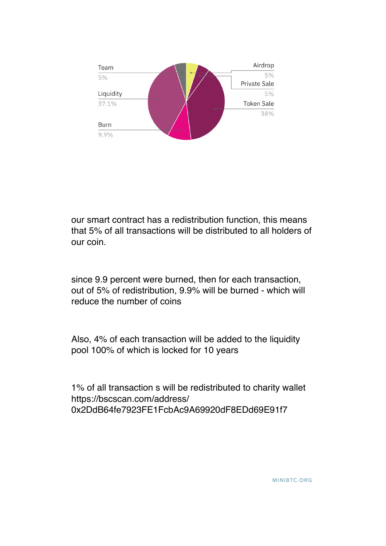

our smart contract has a redistribution function, this means that 5% of all transactions will be distributed to all holders of our coin.

since 9.9 percent were burned, then for each transaction, out of 5% of redistribution, 9.9% will be burned - which will reduce the number of coins

Also, 4% of each transaction will be added to the liquidity pool 100% of which is locked for 10 years

1% of all transaction s will be redistributed to charity wallet https://bscscan.com/address/ 0x2DdB64fe7923FE1FcbAc9A69920dF8EDd69E91f7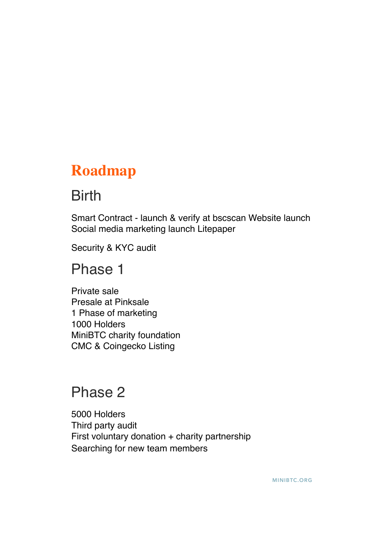# **Roadmap**

# Birth

Smart Contract - launch & verify at bscscan Website launch Social media marketing launch Litepaper

Security & KYC audit

## Phase 1

Private sale Presale at Pinksale 1 Phase of marketing 1000 Holders MiniBTC charity foundation CMC & Coingecko Listing

# Phase 2

5000 Holders Third party audit First voluntary donation + charity partnership Searching for new team members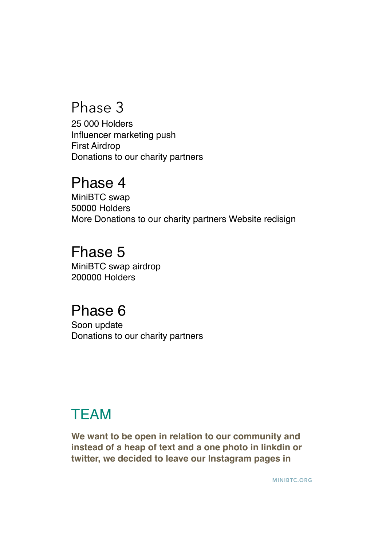# Phase 3

25 000 Holders Influencer marketing push First Airdrop Donations to our charity partners

## Phase 4

MiniBTC swap 50000 Holders More Donations to our charity partners Website redisign

# Fhase 5

MiniBTC swap airdrop 200000 Holders

# Phase 6

Soon update Donations to our charity partners

# **TEAM**

**We want to be open in relation to our community and instead of a heap of text and a one photo in linkdin or twitter, we decided to leave our Instagram pages in**